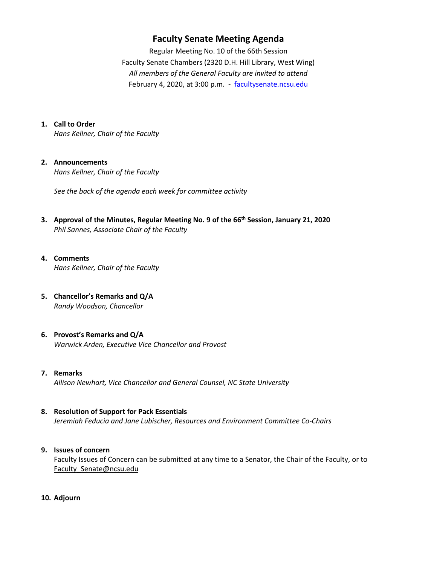## **Faculty Senate Meeting Agenda**

Regular Meeting No. 10 of the 66th Session Faculty Senate Chambers (2320 D.H. Hill Library, West Wing) *All members of the General Faculty are invited to attend* February 4, 2020, at 3:00 p.m. - [facultysenate.ncsu.edu](https://facultysenate.ncsu.edu/)

#### **1. Call to Order**

*Hans Kellner, Chair of the Faculty*

#### **2. Announcements**

*Hans Kellner, Chair of the Faculty*

*See the back of the agenda each week for committee activity* 

**3. Approval of the Minutes, Regular Meeting No. 9 of the 66th Session, January 21, 2020** *Phil Sannes, Associate Chair of the Faculty*

#### **4. Comments**

*Hans Kellner, Chair of the Faculty*

**5. Chancellor's Remarks and Q/A** *Randy Woodson, Chancellor* 

#### **6. Provost's Remarks and Q/A** *Warwick Arden, Executive Vice Chancellor and Provost*

#### **7. Remarks**

*Allison Newhart, Vice Chancellor and General Counsel, NC State University*

#### **8. Resolution of Support for Pack Essentials**

*Jeremiah Feducia and Jane Lubischer, Resources and Environment Committee Co-Chairs*

#### **9. Issues of concern**

Faculty Issues of Concern can be submitted at any time to a Senator, the Chair of the Faculty, or to [Faculty\\_Senate@ncsu.edu](mailto:Faculty_Senate@ncsu.edu)

**10. Adjourn**